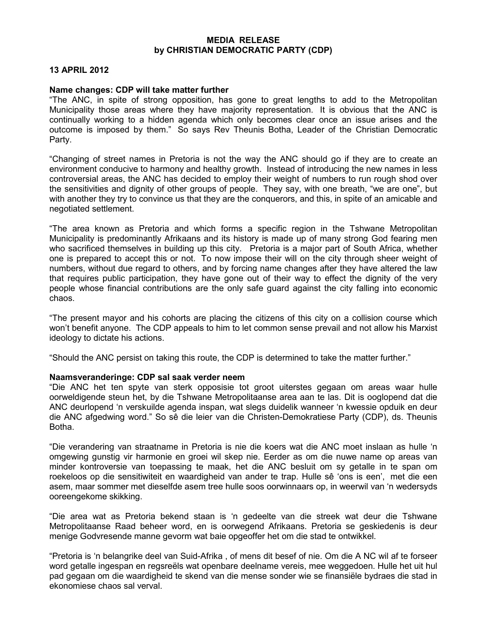## MEDIA RELEASE by CHRISTIAN DEMOCRATIC PARTY (CDP)

## 13 APRIL 2012

## Name changes: CDP will take matter further

"The ANC, in spite of strong opposition, has gone to great lengths to add to the Metropolitan Municipality those areas where they have majority representation. It is obvious that the ANC is continually working to a hidden agenda which only becomes clear once an issue arises and the outcome is imposed by them." So says Rev Theunis Botha, Leader of the Christian Democratic Party.

"Changing of street names in Pretoria is not the way the ANC should go if they are to create an environment conducive to harmony and healthy growth. Instead of introducing the new names in less controversial areas, the ANC has decided to employ their weight of numbers to run rough shod over the sensitivities and dignity of other groups of people. They say, with one breath, "we are one", but with another they try to convince us that they are the conquerors, and this, in spite of an amicable and negotiated settlement.

"The area known as Pretoria and which forms a specific region in the Tshwane Metropolitan Municipality is predominantly Afrikaans and its history is made up of many strong God fearing men who sacrificed themselves in building up this city. Pretoria is a major part of South Africa, whether one is prepared to accept this or not. To now impose their will on the city through sheer weight of numbers, without due regard to others, and by forcing name changes after they have altered the law that requires public participation, they have gone out of their way to effect the dignity of the very people whose financial contributions are the only safe guard against the city falling into economic chaos.

"The present mayor and his cohorts are placing the citizens of this city on a collision course which won't benefit anyone. The CDP appeals to him to let common sense prevail and not allow his Marxist ideology to dictate his actions.

"Should the ANC persist on taking this route, the CDP is determined to take the matter further."

## Naamsveranderinge: CDP sal saak verder neem

"Die ANC het ten spyte van sterk opposisie tot groot uiterstes gegaan om areas waar hulle oorweldigende steun het, by die Tshwane Metropolitaanse area aan te las. Dit is ooglopend dat die ANC deurlopend 'n verskuilde agenda inspan, wat slegs duidelik wanneer 'n kwessie opduik en deur die ANC afgedwing word." So sê die leier van die Christen-Demokratiese Party (CDP), ds. Theunis Botha.

"Die verandering van straatname in Pretoria is nie die koers wat die ANC moet inslaan as hulle 'n omgewing gunstig vir harmonie en groei wil skep nie. Eerder as om die nuwe name op areas van minder kontroversie van toepassing te maak, het die ANC besluit om sy getalle in te span om roekeloos op die sensitiwiteit en waardigheid van ander te trap. Hulle sê 'ons is een', met die een asem, maar sommer met dieselfde asem tree hulle soos oorwinnaars op, in weerwil van 'n wedersyds ooreengekome skikking.

"Die area wat as Pretoria bekend staan is 'n gedeelte van die streek wat deur die Tshwane Metropolitaanse Raad beheer word, en is oorwegend Afrikaans. Pretoria se geskiedenis is deur menige Godvresende manne gevorm wat baie opgeoffer het om die stad te ontwikkel.

"Pretoria is 'n belangrike deel van Suid-Afrika , of mens dit besef of nie. Om die A NC wil af te forseer word getalle ingespan en regsreëls wat openbare deelname vereis, mee weggedoen. Hulle het uit hul pad gegaan om die waardigheid te skend van die mense sonder wie se finansiële bydraes die stad in ekonomiese chaos sal verval.